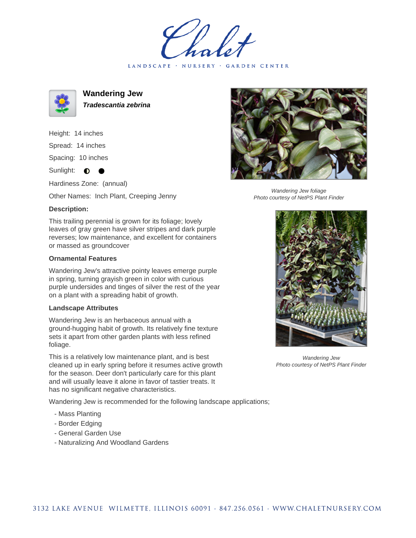LANDSCAPE · NURSERY · GARDEN CENTER



**Wandering Jew Tradescantia zebrina**

Height: 14 inches Spread: 14 inches

Spacing: 10 inches

Sunlight:  $\bullet$  $\bullet$ 

Hardiness Zone: (annual)

Other Names: Inch Plant, Creeping Jenny

## **Description:**

This trailing perennial is grown for its foliage; lovely leaves of gray green have silver stripes and dark purple reverses; low maintenance, and excellent for containers or massed as groundcover

## **Ornamental Features**

Wandering Jew's attractive pointy leaves emerge purple in spring, turning grayish green in color with curious purple undersides and tinges of silver the rest of the year on a plant with a spreading habit of growth.

## **Landscape Attributes**

Wandering Jew is an herbaceous annual with a ground-hugging habit of growth. Its relatively fine texture sets it apart from other garden plants with less refined foliage.

This is a relatively low maintenance plant, and is best cleaned up in early spring before it resumes active growth for the season. Deer don't particularly care for this plant and will usually leave it alone in favor of tastier treats. It has no significant negative characteristics.

Wandering Jew is recommended for the following landscape applications;

- Mass Planting
- Border Edging
- General Garden Use
- Naturalizing And Woodland Gardens



Wandering Jew foliage Photo courtesy of NetPS Plant Finder



Wandering Jew Photo courtesy of NetPS Plant Finder